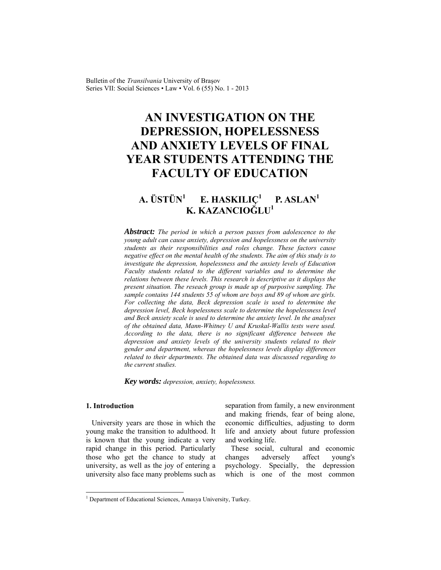Bulletin of the *Transilvania* University of Braşov Series VII: Social Sciences • Law • Vol. 6 (55) No. 1 - 2013

# **AN INVESTIGATION ON THE DEPRESSION, HOPELESSNESS AND ANXIETY LEVELS OF FINAL YEAR STUDENTS ATTENDING THE FACULTY OF EDUCATION**

### **A. ÜSTÜN<sup>1</sup> E. HASKILIÇ<sup>1</sup> P. ASLAN<sup>1</sup> K. KAZANCIOĞLU1**

*Abstract: The period in which a person passes from adolescence to the young adult can cause anxiety, depression and hopelessness on the university students as their responsibilities and roles change. These factors cause negative effect on the mental health of the students. The aim of this study is to investigate the depression, hopelessness and the anxiety levels of Education Faculty students related to the different variables and to determine the relations between these levels. This research is descriptive as it displays the present situation. The reseach group is made up of purposive sampling. The sample contains 144 students 55 of whom are boys and 89 of whom are girls. For collecting the data, Beck depression scale is used to determine the depression level, Beck hopelessness scale to determine the hopelessness level and Beck anxiety scale is used to determine the anxiety level. In the analyses of the obtained data, Mann-Whitney U and Kruskal-Wallis tests were used. According to the data, there is no significant difference between the depression and anxiety levels of the university students related to their gender and department, whereas the hopelessness levels display differences related to their departments. The obtained data was discussed regarding to the current studies.* 

*Key words: depression, anxiety, hopelessness.*

# **1. Introduction**

l

University years are those in which the young make the transition to adulthood. It is known that the young indicate a very rapid change in this period. Particularly those who get the chance to study at university, as well as the joy of entering a university also face many problems such as

separation from family, a new environment and making friends, fear of being alone, economic difficulties, adjusting to dorm life and anxiety about future profession and working life.

These social, cultural and economic changes adversely affect young's psychology. Specially, the depression which is one of the most common

<sup>&</sup>lt;sup>1</sup> Department of Educational Sciences, Amasya University, Turkey.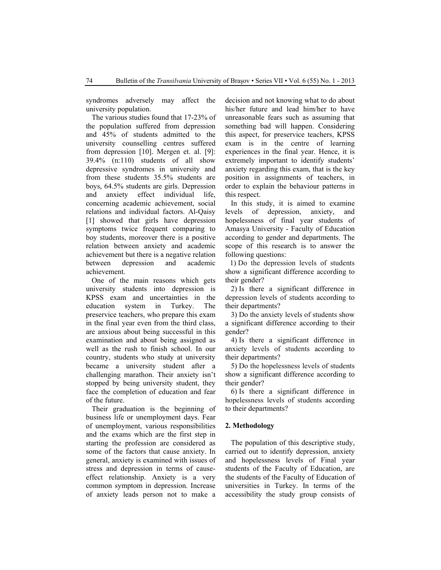syndromes adversely may affect the university population.

The various studies found that 17-23% of the population suffered from depression and 45% of students admitted to the university counselling centres suffered from depression [10]. Mergen et. al. [9]: 39.4% (n:110) students of all show depressive syndromes in university and from these students 35.5% students are boys, 64.5% students are girls. Depression and anxiety effect individual life, concerning academic achievement, social relations and individual factors. Al-Qaisy [1] showed that girls have depression symptoms twice frequent comparing to boy students, moreover there is a positive relation between anxiety and academic achievement but there is a negative relation between depression and academic achievement.

One of the main reasons which gets university students into depression is KPSS exam and uncertainties in the education system in Turkey. The preservice teachers, who prepare this exam in the final year even from the third class, are anxious about being successful in this examination and about being assigned as well as the rush to finish school. In our country, students who study at university became a university student after a challenging marathon. Their anxiety isn't stopped by being university student, they face the completion of education and fear of the future.

Their graduation is the beginning of business life or unemployment days. Fear of unemployment, various responsibilities and the exams which are the first step in starting the profession are considered as some of the factors that cause anxiety. In general, anxiety is examined with issues of stress and depression in terms of causeeffect relationship. Anxiety is a very common symptom in depression. Increase of anxiety leads person not to make a decision and not knowing what to do about his/her future and lead him/her to have unreasonable fears such as assuming that something bad will happen. Considering this aspect, for preservice teachers, KPSS exam is in the centre of learning experiences in the final year. Hence, it is extremely important to identify students' anxiety regarding this exam, that is the key position in assignments of teachers, in order to explain the behaviour patterns in this respect.

In this study, it is aimed to examine levels of depression, anxiety, and hopelessness of final year students of Amasya University - Faculty of Education according to gender and departments. The scope of this research is to answer the following questions:

1) Do the depression levels of students show a significant difference according to their gender?

2) Is there a significant difference in depression levels of students according to their departments?

3) Do the anxiety levels of students show a significant difference according to their gender?

4) Is there a significant difference in anxiety levels of students according to their departments?

5) Do the hopelessness levels of students show a significant difference according to their gender?

6) Is there a significant difference in hopelessness levels of students according to their departments?

## **2. Methodology**

The population of this descriptive study, carried out to identify depression, anxiety and hopelessness levels of Final year students of the Faculty of Education, are the students of the Faculty of Education of universities in Turkey. In terms of the accessibility the study group consists of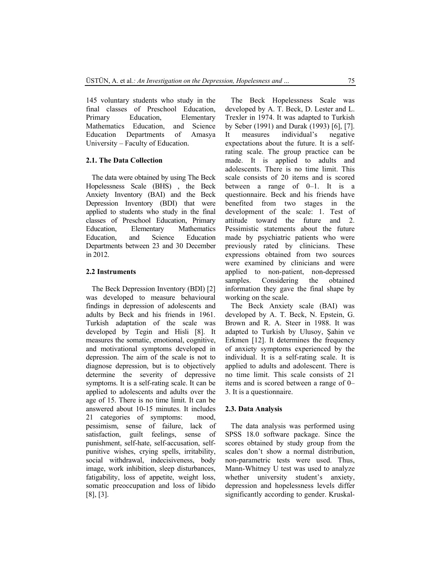145 voluntary students who study in the final classes of Preschool Education, Primary Education, Elementary Mathematics Education, and Science Education Departments of Amasya University – Faculty of Education.

## **2.1. The Data Collection**

The data were obtained by using The Beck Hopelessness Scale (BHS) , the Beck Anxiety Inventory (BAI) and the Beck Depression Inventory (BDI) that were applied to students who study in the final classes of Preschool Education, Primary Education, Elementary Mathematics Education, and Science Education Departments between 23 and 30 December in 2012.

## **2.2 Instruments**

The Beck Depression Inventory (BDI) [2] was developed to measure behavioural findings in depression of adolescents and adults by Beck and his friends in 1961. Turkish adaptation of the scale was developed by Tegin and Hisli [8]. It measures the somatic, emotional, cognitive, and motivational symptoms developed in depression. The aim of the scale is not to diagnose depression, but is to objectively determine the severity of depressive symptoms. It is a self-rating scale. It can be applied to adolescents and adults over the age of 15. There is no time limit. It can be answered about 10-15 minutes. It includes 21 categories of symptoms: mood, pessimism, sense of failure, lack of satisfaction, guilt feelings, sense of punishment, self-hate, self-accusation, selfpunitive wishes, crying spells, irritability, social withdrawal, indecisiveness, body image, work inhibition, sleep disturbances, fatigability, loss of appetite, weight loss, somatic preoccupation and loss of libido [8], [3].

The Beck Hopelessness Scale was developed by A. T. Beck, D. Lester and L. Trexler in 1974. It was adapted to Turkish by Seber (1991) and Durak (1993) [6], [7]. It measures individual's negative expectations about the future. It is a selfrating scale. The group practice can be made. It is applied to adults and adolescents. There is no time limit. This scale consists of 20 items and is scored between a range of 0–1. It is a questionnaire. Beck and his friends have benefited from two stages in the development of the scale: 1. Test of attitude toward the future and 2. Pessimistic statements about the future made by psychiatric patients who were previously rated by clinicians. These expressions obtained from two sources were examined by clinicians and were applied to non-patient, non-depressed samples. Considering the obtained information they gave the final shape by working on the scale.

The Beck Anxiety scale (BAI) was developed by A. T. Beck, N. Epstein, G. Brown and R. A. Steer in 1988. It was adapted to Turkish by Ulusoy, Şahin ve Erkmen [12]. It determines the frequency of anxiety symptoms experienced by the individual. It is a self-rating scale. It is applied to adults and adolescent. There is no time limit. This scale consists of 21 items and is scored between a range of 0– 3. It is a questionnaire.

### **2.3. Data Analysis**

The data analysis was performed using SPSS 18.0 software package. Since the scores obtained by study group from the scales don't show a normal distribution, non-parametric tests were used. Thus, Mann-Whitney U test was used to analyze whether university student's anxiety, depression and hopelessness levels differ significantly according to gender. Kruskal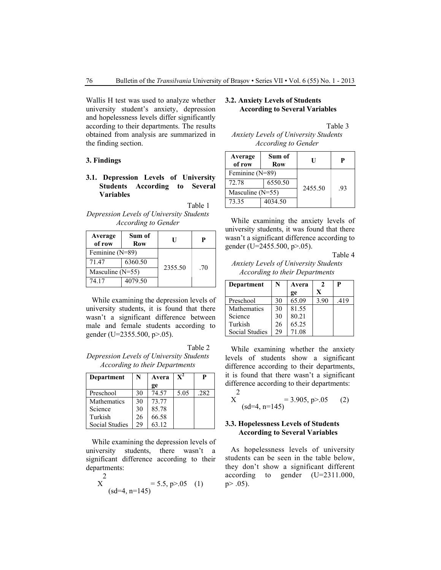Wallis H test was used to analyze whether university student's anxiety, depression and hopelessness levels differ significantly according to their departments. The results obtained from analysis are summarized in the finding section.

## **3. Findings**

# **3.1. Depression Levels of University Students According to Several Variables**

Table 1 *Depression Levels of University Students According to Gender*

| Average<br>of row  | Sum of<br>Row | U       | Р   |  |
|--------------------|---------------|---------|-----|--|
| Feminine (N=89)    |               |         |     |  |
| 71.47              | 6360.50       |         |     |  |
| Masculine $(N=55)$ |               | 2355.50 | .70 |  |
| 74.17              | 4079.50       |         |     |  |

 While examining the depression levels of university students, it is found that there wasn't a significant difference between male and female students according to gender (U=2355.500, p>.05).

Table 2 *Depression Levels of University Students According to their Departments*

| Department            | N  | Avera | $\mathbf{X}^{\mathbf{z}}$ | P    |
|-----------------------|----|-------|---------------------------|------|
|                       |    | ge    |                           |      |
| Preschool             | 30 | 74.57 | 5.05                      | .282 |
| Mathematics           | 30 | 73.77 |                           |      |
| Science               | 30 | 85.78 |                           |      |
| Turkish               | 26 | 66.58 |                           |      |
| <b>Social Studies</b> | 29 | 63.12 |                           |      |

While examining the depression levels of university students, there wasn't a significant difference according to their departments:

$$
X^{2} = 5.5, p > .05 \quad (1)
$$
  
(sd=4, n=145)

# **3.2. Anxiety Levels of Students According to Several Variables**

Table 3

*Anxiety Levels of University Students According to Gender*

| Average<br>of row  | Sum of<br>Row | Н       |     |  |
|--------------------|---------------|---------|-----|--|
| Feminine (N=89)    |               |         |     |  |
| 72.78              | 6550.50       |         |     |  |
| Masculine $(N=55)$ |               | 2455.50 | .93 |  |
| 73.35              | 4034.50       |         |     |  |

 While examining the anxiety levels of university students, it was found that there wasn't a significant difference according to gender (U=2455.500, p>.05).

Table 4

*Anxiety Levels of University Students According to their Departments*

| <b>Department</b>     | N  | Avera<br>ge | Y    | P    |
|-----------------------|----|-------------|------|------|
| Preschool             | 30 | 65.09       | 3.90 | .419 |
| Mathematics           | 30 | 81.55       |      |      |
| Science               | 30 | 80.21       |      |      |
| Turkish               | 26 | 65.25       |      |      |
| <b>Social Studies</b> | 29 | 71 08       |      |      |

While examining whether the anxiety levels of students show a significant difference according to their departments, it is found that there wasn't a significant difference according to their departments:  $\mathcal{D}$ 

$$
X^2 = 3.905, p > 0.05 \tag{2}
$$

# **3.3. Hopelessness Levels of Students According to Several Variables**

As hopelessness levels of university students can be seen in the table below, they don't show a significant different according to gender (U=2311.000,  $p > .05$ ).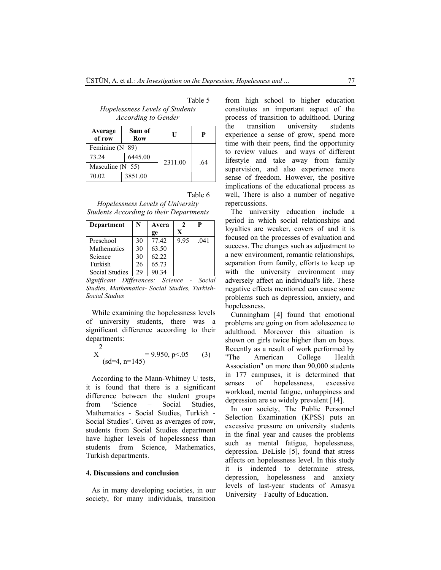Table 5 *Hopelessness Levels of Students According to Gender*

| Average<br>of row  | Sum of<br>Row | U       | P   |
|--------------------|---------------|---------|-----|
| Feminine (N=89)    |               |         |     |
| 73.24              | 6445.00       | 2311.00 | -64 |
| Masculine $(N=55)$ |               |         |     |
| 70.02              | 3851.00       |         |     |

Table 6

*Hopelessness Levels of University Students According to their Departments*

| <b>Department</b> | N  | Avera |      | P    |
|-------------------|----|-------|------|------|
|                   |    | ge    | X    |      |
| Preschool         | 30 | 77 42 | 9.95 | .041 |
| Mathematics       | 30 | 63.50 |      |      |
| Science           | 30 | 62.22 |      |      |
| Turkish           | 26 | 65.73 |      |      |
| Social Studies    | 29 | 90.34 |      |      |

*Significant Differences: Science - Social Studies, Mathematics- Social Studies, Turkish-Social Studies* 

While examining the hopelessness levels of university students, there was a significant difference according to their departments:

$$
X^{2} = 9.950, p<0.05
$$
 (3)  
(sd=4, n=145)

According to the Mann-Whitney U tests, it is found that there is a significant difference between the student groups from 'Science – Social Studies, Mathematics - Social Studies, Turkish - Social Studies'. Given as averages of row, students from Social Studies department have higher levels of hopelessness than students from Science, Mathematics, Turkish departments.

#### **4. Discussions and conclusion**

As in many developing societies, in our society, for many individuals, transition from high school to higher education constitutes an important aspect of the

process of transition to adulthood. During the transition university students experience a sense of grow, spend more time with their peers, find the opportunity to review values and ways of different lifestyle and take away from family supervision, and also experience more sense of freedom. However, the positive implications of the educational process as well, There is also a number of negative repercussions.

The university education include a period in which social relationships and loyalties are weaker, covers of and it is focused on the processes of evaluation and success. The changes such as adjustment to a new environment, romantic relationships, separation from family, efforts to keep up with the university environment may adversely affect an individual's life. These negative effects mentioned can cause some problems such as depression, anxiety, and hopelessness.

Cunningham [4] found that emotional problems are going on from adolescence to adulthood. Moreover this situation is shown on girls twice higher than on boys. Recently as a result of work performed by "The American College Health Association" on more than 90,000 students in 177 campuses, it is determined that senses of hopelessness, excessive workload, mental fatigue, unhappiness and depression are so widely prevalent [14].

In our society, The Public Personnel Selection Examination (KPSS) puts an excessive pressure on university students in the final year and causes the problems such as mental fatigue, hopelessness, depression. DeLisle [5], found that stress affects on hopelessness level. In this study it is indented to determine stress, depression, hopelessness and anxiety levels of last-year students of Amasya University – Faculty of Education.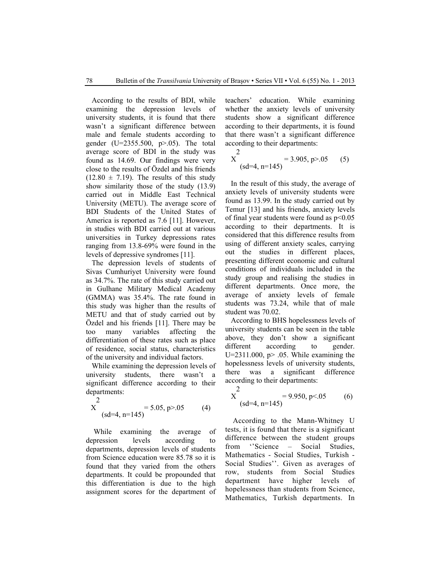According to the results of BDI, while examining the depression levels of university students, it is found that there wasn't a significant difference between male and female students according to gender (U=2355.500, p>.05). The total average score of BDI in the study was found as 14.69. Our findings were very close to the results of Özdel and his friends  $(12.80 \pm 7.19)$ . The results of this study show similarity those of the study (13.9) carried out in Middle East Technical University (METU). The average score of BDI Students of the United States of America is reported as 7.6 [11]. However, in studies with BDI carried out at various universities in Turkey depressions rates ranging from 13.8-69% were found in the levels of depressive syndromes [11].

The depression levels of students of Sivas Cumhuriyet University were found as 34.7%. The rate of this study carried out in Gulhane Military Medical Academy (GMMA) was 35.4%. The rate found in this study was higher than the results of METU and that of study carried out by Özdel and his friends [11]. There may be too many variables affecting the differentiation of these rates such as place of residence, social status, characteristics of the university and individual factors.

While examining the depression levels of university students, there wasn't a significant difference according to their departments:

$$
X^2 = 5.05, p > .05
$$
 (4)  
(sd=4, n=145)

 While examining the average of depression levels according to departments, depression levels of students from Science education were 85.78 so it is found that they varied from the others departments. It could be propounded that this differentiation is due to the high assignment scores for the department of teachers' education. While examining whether the anxiety levels of university students show a significant difference according to their departments, it is found that there wasn't a significant difference according to their departments:

$$
X^{2} = 3.905, p > .05
$$
 (5)  
(sd=4, n=145)

In the result of this study, the average of anxiety levels of university students were found as 13.99. In the study carried out by Temur [13] and his friends, anxiety levels of final year students were found as  $p<0.05$ according to their departments. It is considered that this difference results from using of different anxiety scales, carrying out the studies in different places, presenting different economic and cultural conditions of individuals included in the study group and realising the studies in different departments. Once more, the average of anxiety levels of female students was 73.24, while that of male student was 70.02.

According to BHS hopelessness levels of university students can be seen in the table above, they don't show a significant different according to gender. U=2311.000,  $p$ > .05. While examining the hopelessness levels of university students, there was a significant difference according to their departments:

$$
X^2 = 9.950, p < .05
$$
 (sd=4, n=145) (6)

 According to the Mann-Whitney U tests, it is found that there is a significant difference between the student groups from ''Science – Social Studies, Mathematics - Social Studies, Turkish - Social Studies''. Given as averages of row, students from Social Studies department have higher levels of hopelessness than students from Science, Mathematics, Turkish departments. In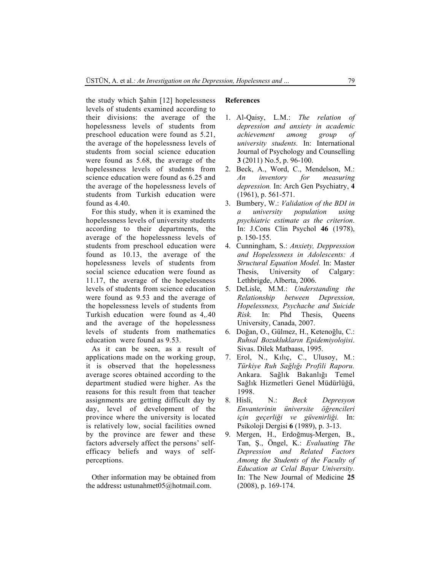the study which Şahin [12] hopelessness levels of students examined according to their divisions: the average of the hopelessness levels of students from preschool education were found as 5.21, the average of the hopelessness levels of students from social science education were found as 5.68, the average of the hopelessness levels of students from science education were found as 6.25 and the average of the hopelessness levels of students from Turkish education were found as 4.40.

For this study, when it is examined the hopelessness levels of university students according to their departments, the average of the hopelessness levels of students from preschool education were found as 10.13, the average of the hopelessness levels of students from social science education were found as 11.17, the average of the hopelessness levels of students from science education were found as 9.53 and the average of the hopelessness levels of students from Turkish education were found as 4,.40 and the average of the hopelessness levels of students from mathematics education were found as 9.53.

As it can be seen, as a result of applications made on the working group, it is observed that the hopelessness average scores obtained according to the department studied were higher. As the reasons for this result from that teacher assignments are getting difficult day by day, level of development of the province where the university is located is relatively low, social facilities owned by the province are fewer and these factors adversely affect the persons' selfefficacy beliefs and ways of selfperceptions.

Other information may be obtained from the address**:** ustunahmet05@hotmail.com.

# **References**

- 1. Al-Qaisy, L.M.: *The relation of depression and anxiety in academic achievement among group of university students.* In: International Journal of Psychology and Counselling **3** (2011) No.5, p. 96-100.
- 2. Beck, A., Word, C., Mendelson, M.: *An inventory for measuring depression.* In: Arch Gen Psychiatry, **4** (1961), p. 561-571.
- 3. Bumbery, W.: *Validation of the BDI in a university population using psychiatric estimate as the criterion*. In: J.Cons Clin Psychol **46** (1978), p. 150-155.
- 4. Cunningham, S.: *Anxiety, Deppression and Hopelessness in Adolescents: A Structural Equation Model.* In: Master Thesis, University of Calgary: Lethbrigde, Alberta, 2006.
- 5. DeLisle, M.M.: *Understanding the Relationship between Depression, Hopelessness, Psychache and Suicide Risk.* In: Phd Thesis, Queens University, Canada, 2007.
- 6. Doğan, O., Gülmez, H., Ketenoğlu, C.: *Ruhsal Bozuklukların Epidemiyolojisi*. Sivas. Dilek Matbaası, 1995.
- 7. Erol, N., Kılıç, C., Ulusoy, M*.*: *Türkiye Ruh Sağlığı Profili Raporu.* Ankara. Sağlık Bakanlığı Temel Sağlık Hizmetleri Genel Müdürlüğü, 1998.
- 8. Hisli, N.: *Beck Depresyon Envanterinin üniversite öğrencileri için geçerliği ve güvenirliği.* In: Psikoloji Dergisi **6** (1989), p. 3-13.
- 9. Mergen, H., Erdoğmuş-Mergen, B., Tan, Ş., Öngel, K.: *Evaluating The Depression and Related Factors Among the Students of the Faculty of Education at Celal Bayar University.* In: The New Journal of Medicine **25** (2008), p. 169-174.